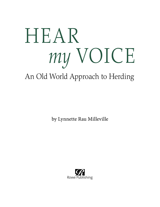# HEAR *my* VOICE

## An Old World Approach to Herding

by Lynnette Rau Milleville

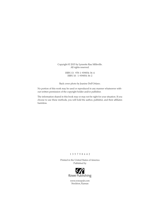Copyright © 2015 by Lynnette Rau Milleville. All rights reserved.

> ISBN 13: 978-1-939054-36-4 ISBN 10: 1-939054-36-2

Back cover photo by Jeanine Dell'Orfano.

No portion of this work may be used or reproduced in any manner whatsoever without written permission of the copyright holder and/or publisher.

The information shared in this book may or may not be right for your situation. If you choose to use these methods, you will hold the author, publisher, and their affiliates harmless.

#### 1 3 5 7 9 8 6 4 2

Printed in the United States of America Published by



www.rowepub.com Stockton, Kansas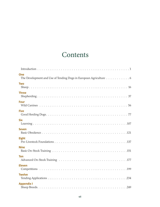## **Contents**

| One<br>The Development and Use of Tending Dogs in European Agriculture 6 |
|--------------------------------------------------------------------------|
| <b>Two</b>                                                               |
| <b>Three</b>                                                             |
| <b>Four</b>                                                              |
| <b>Five</b>                                                              |
| <b>Six</b>                                                               |
| <b>Seven</b>                                                             |
| <b>Eight</b>                                                             |
| <b>Nine</b>                                                              |
| <b>Ten</b>                                                               |
| <b>Eleven</b>                                                            |
| <b>Twelve</b>                                                            |
| <b>Appendix I</b>                                                        |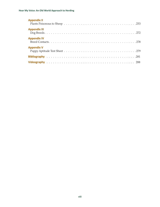| <b>Appendix II</b>  |
|---------------------|
| <b>Appendix III</b> |
| <b>Appendix IV</b>  |
| <b>Appendix V</b>   |
|                     |
|                     |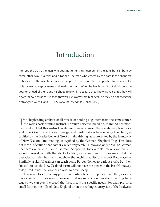### Introduction

I tell you the truth, the man who does not enter the sheep pen by the gate, but climbs in by some other way, is a thief and a robber. The man who enters by the gate is the shepherd of his sheep. The watchman opens the gate for him, and the sheep listen to his voice. He calls his own sheep by name and leads them out. When he has brought out all his own, he goes on ahead of them, and his sheep follow him because they know his voice. But they will never follow a stranger; in fact, they will run away from him because they do not recognize a stranger's voice (John. 10. 1-5; New International Version Bible).

This is not to say that any particular herding breed is superior to another, as some have claimed. It does mean, however, that we must know our dogs' herding heritage so we can pick the breed that best meets our specific needs. For example, on a small farm in the hills of New England or on the rolling countryside of the Midwest,

The shepherding abilities of all breeds of herding dogs stem from the same source, the wolf's pack-hunting instinct. Through selective breeding, mankind has modified and molded this instinct in different ways to meet the specific needs of place and time. Over the centuries, three general herding styles have emerged: fetching, as typified by the Border Collie of Great Britain; driving, as represented by the Huntaway of New Zealand; and tending, as typified by the German Shepherd Dog. This does not mean, of course, that Border Collies only fetch, Huntaways only drive, or German Shepherds only tend. Some German Shepherds, for example, make excellent allaround farm dogs with the ability to fetch, drive and tend. It does mean that the best German Shepherd will not show the fetching ability of the best Border Collie. Similarly, a skillful trainer can teach some Border Collies to bark at stock. But their "noise" (to use the New Zealand term) will not have the power of the best Huntaway, a dog bred to use the force of its voice to drive sheep.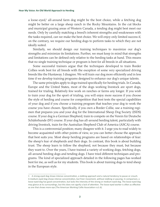a loose-eyed,<sup>1</sup> all-around farm dog might be the best choice, while a fetching dog might be better on a large sheep ranch in the Rocky Mountains. In the cut blocks and municipal grazing areas of Western Canada, a tending dog might best meet our needs. Only by carefully matching a breed's inherent strengths and weaknesses with the tasks required, can we make the best choice. We will enjoy only limited success if, on the contrary, we require our herding dogs to perform tasks to which they are not ideally suited.

Similarly, we should design our training techniques to maximize our dog's strengths and minimize its limitations. Further, we must keep in mind that strengths and limitations can be defined only relative to the herding tasks at hand. This means that no single training technique or program is best for all breeds in all situations.

Some successful trainers argue that the techniques developed to train Border Collies work best for all breeds with the exception of some very specialized driving breeds like the Huntaway. I disagree. We will train our dog more efficiently and in less time if we develop training programs designed to enhance our dog's unique talents.

The same principles apply to dogs trained specifically for herding trials. In Canada, Europe and the United States, most of the dogs working livestock are sport dogs, trained for trialing. Relatively few work on ranches or farms any longer. If you wish to train your dog for the sport of trialing, you will enjoy more success if you choose the style of herding and course for competition that best tests the special capabilities of your dog and if you choose a training program that teaches your dog to work the course you have chosen. Specifically, if you own a Border Collie, use a training regimen that prepares you and your dog for the International Sheep Dog Society (ISDS) course. If your dog is a German Shepherd, train to compete on the Verein für Deutsche Schäferhunde (SV) course. If your dog has all-around herding talent, particularly with driving livestock, train for the Australian Shepherd Club of America (ASCA) course.

This is a controversial position; many disagree with it. I urge you to read widely to become acquainted with other points of view, so you can better choose the approach that best suits you. Most sheep herding programs are based on relationships of fear: the sheep's fear of shepherds and their dogs. In contrast, this book is about building trust. The sheep learn to follow the shepherd, not because they must, but because they want to. Over the years, I have trained a variety of working dogs, fetching dogs, all-around herding dogs and tending dogs. I have tried different techniques and programs. The kind of specialized approach detailed in the following pages has worked best for me, as well as for my students. This book is about training dogs to tend sheep in the European style.

<sup>1</sup> A strong-eyed dog shows intense concentration, a stalking approach and a natural tendency to pause or crouch. A medium-eyed dog shows intense concentration, but freer movement, without stalking or pausing. In comparison, a loose-eyed dog has good concentration, but lacks the intensity of the strong or medium-eyed dog. The loose-eyed dog may glance at its surroundings, but this does not signify a lack of attention. The loose-eyed worker is often as effective as one that shows more eye (The American Working Collie Association n.d.:6).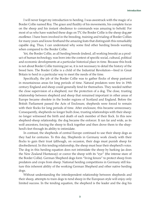I will never forget my introduction to herding. I was awestruck with the magic of a Border Collie named Roy. The grace and fluidity of his movements, his complete focus on the sheep and his instant obedience to commands was amazing to behold. For most of us who have watched these dogs on TV, the Border Collie is the sheep dog *par excellence*. I have been involved in the breeding, training and trialing of Border Collies for many years and know firsthand the amazing feats that distinguish this remarkably capable dog. Thus, I can understand why some find other herding breeds wanting when compared to the Border Collie.

Yet, the Border Collie, as all herding breeds (indeed, all working breeds) as a product of human technology, was born into the context of specific social, cultural, political and economic developments at a particular historical place in time. Because this book is not about Border Collie training per se, it is not necessary to detail the history of the breed here. The Border Collie is a child of the Industrial Revolution—bred in Great Britain to herd in a particular way to meet the needs of the time.

Specifically, the job of the Border Collie was to gather flocks of sheep pastured in mountainous areas for long periods of time. Natural predators were few in 19th century England and sheep could generally fend for themselves. They needed neither the close supervision of a shepherd, nor the protection of a dog. The close, trusting relationship between shepherd and sheep that remained important in other areas of Europe became obsolete in the border regions of Scotland and England. Before the British Parliament passed the Acts of Enclosure, shepherds were forced to remain with their flocks for long periods of time. After enclosure, this became unnecessary. Consequently, shepherds no longer built close, trusting relationships with their sheep: no longer witnessed the birth and death of each member of their flock. In this new shepherd-sheep relationship, the dog became the enforcer. It ran far and wide, as its wolf ancestors, forcing the sheep to flock together and then drove them to the shepherd's feet through its ability to intimidate.

In contrast, the shepherds of central Europe continued to use their sheep dogs as they had for centuries. To this day, Shepherds in Germany work closely with their flocks to gain their trust (although, on occasion, their dogs must punish sheep for disobedience). In this tending relationship, the sheep must hear their shepherd's voice. The dog in this herding equation does not intimidate the sheep by barking (as does the New Zealand Huntaway) or coerce the sheep with its "eye" (the intense stare of the Border Collie). German Shepherd dogs form "living fences" to protect sheep from predators and crops from sheep. National herding competitions in Germany still feature this inherent ability of the working German Shepherd and other native herding dogs.

Without understanding the interdependent relationship between shepherds and their sheep, attempts to train dogs to tend sheep in the European style will enjoy only limited success. In the tending equation, the shepherd is the leader and the dog his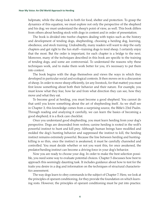helpmate, while the sheep look to both for food, shelter and protection. To grasp the dynamics of this equation, we must explore not only the perspective of the shepherd and his dog; we must understand the sheep's point of view, as well. This book differs from others about herding stock with dogs in content and in order of presentation.

The book is divided into twelve chapters dealing with topics such as the history and development of tending dogs, shepherding, choosing a herding dog, learning, obedience, and stock training. Undoubtedly, many readers will want to skip the early chapters and get right to the fun stuff—training dogs to tend sheep. I certainly enjoy that the most. But the order is important, for each chapter is a bridge to the next. Moreover, many of the techniques described in this book are specific to the training of tending dogs, and some are controversial. To understand the reasons why these techniques work, and to make them work better for you, it's necessary to put them into context.

The book begins with the dogs themselves and views the ways in which they developed in particular social and ecological contexts. It then moves on to a discussion of sheep. In order to move sheep efficiently, (or any livestock, for that matter) you must first know something about both their behavior and their nature. For example, you must know what they fear, how far and from what direction they can see, how they move and what they eat.

To become good at herding, you must become a good shepherd. You cannot do that until you know something about the art of shepherding itself. As we shall see in Chapter 3, this knowledge comes from a surprising source, the Bible's 23rd Psalm. Through reading and analyzing it carefully, we can learn the basics of becoming a good shepherd; it is a flock care checklist.

Once you understand good shepherding, you must learn herding from your dog's perspective. Dogs are descended from wolves; canine herding is rooted in the wolf's powerful instinct to hunt and kill prey. Although human beings have modified and molded the dog's hunting behavior and suppressed the instinct to kill, the herding instinct remains extremely powerful. Because the line between herding and huntingkilling is so thin, once the instinct is awakened, it must be carefully channeled and controlled. You must decide whether or not you want this, for once awakened, the predator/herding instinct can become a driving force in your dog's behavior.

Now you are ready to choose your dog. In order to make the best selection possible, you need some way to evaluate potential choices. Chapter 5 discusses how best to approach this seemingly daunting task. It includes guidance about how to test for the traits you desire in a dog and information on the techniques of structural characteristics assessment.

The way dogs learn to obey commands is the subject of Chapter 7. Here, we look at the principles of operant conditioning, for they provide the foundation on which learning rests. However, the principles of operant conditioning must be put into practice.